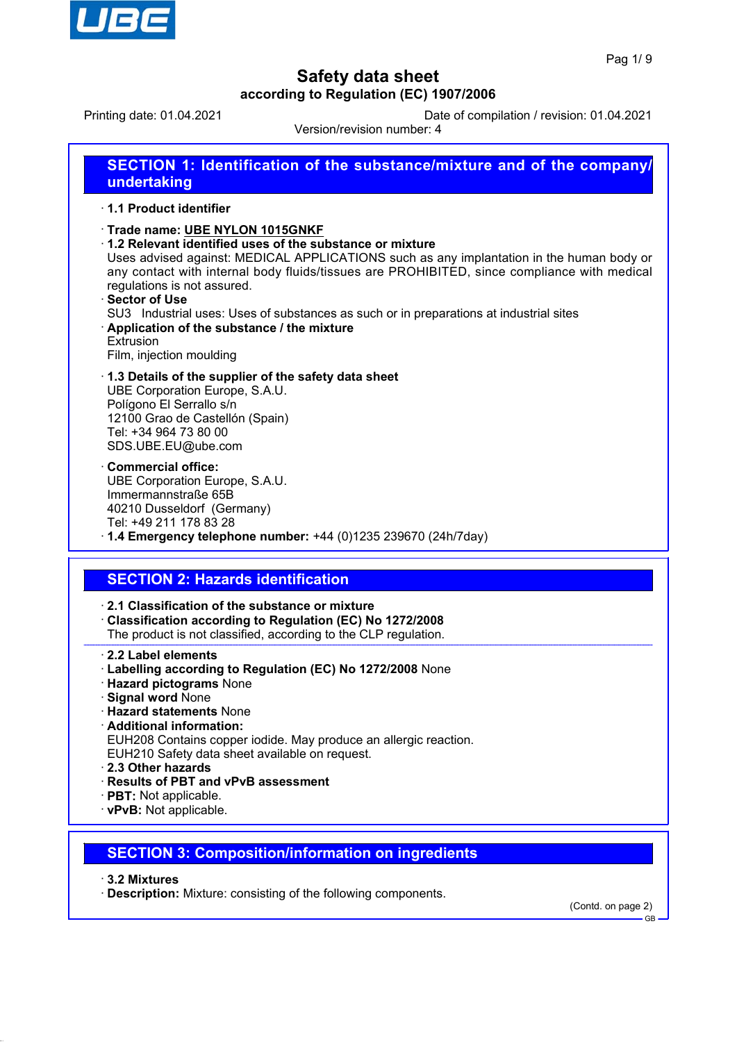

Printing date: 01.04.2021 Date of compilation / revision: 01.04.2021

Version/revision number: 4

| SECTION 1: Identification of the substance/mixture and of the company/<br>undertaking                                                                                                                                                                                                                                                                                                                                                                                                                                    |
|--------------------------------------------------------------------------------------------------------------------------------------------------------------------------------------------------------------------------------------------------------------------------------------------------------------------------------------------------------------------------------------------------------------------------------------------------------------------------------------------------------------------------|
| 1.1 Product identifier                                                                                                                                                                                                                                                                                                                                                                                                                                                                                                   |
| Trade name: UBE NYLON 1015GNKF<br>1.2 Relevant identified uses of the substance or mixture<br>Uses advised against: MEDICAL APPLICATIONS such as any implantation in the human body or<br>any contact with internal body fluids/tissues are PROHIBITED, since compliance with medical<br>regulations is not assured.<br>⋅ Sector of Use<br>SU3 Industrial uses: Uses of substances as such or in preparations at industrial sites<br>Application of the substance / the mixture<br>Extrusion<br>Film, injection moulding |
| 1.3 Details of the supplier of the safety data sheet<br>UBE Corporation Europe, S.A.U.<br>Polígono El Serrallo s/n<br>12100 Grao de Castellón (Spain)<br>Tel: +34 964 73 80 00<br>SDS.UBE.EU@ube.com                                                                                                                                                                                                                                                                                                                     |
| <b>Commercial office:</b><br>UBE Corporation Europe, S.A.U.<br>Immermannstraße 65B<br>40210 Dusseldorf (Germany)<br>Tel: +49 211 178 83 28<br>$\cdot$ 1.4 Emergency telephone number: +44 (0)1235 239670 (24h/7day)                                                                                                                                                                                                                                                                                                      |
| <b>SECTION 2: Hazards identification</b>                                                                                                                                                                                                                                                                                                                                                                                                                                                                                 |
|                                                                                                                                                                                                                                                                                                                                                                                                                                                                                                                          |
| 2.1 Classification of the substance or mixture<br>Classification according to Regulation (EC) No 1272/2008<br>The product is not classified, according to the CLP regulation.                                                                                                                                                                                                                                                                                                                                            |
| 2.2 Label elements<br>· Labelling according to Regulation (EC) No 1272/2008 None<br>· Hazard pictograms None<br><b>Signal word None</b><br>. Hazard etatomonte Nona                                                                                                                                                                                                                                                                                                                                                      |

- · **Hazard statements** None
- · **Additional information:**
- EUH208 Contains copper iodide. May produce an allergic reaction.
- EUH210 Safety data sheet available on request.
- · **2.3 Other hazards**
- · **Results of PBT and vPvB assessment**
- · **PBT:** Not applicable.
- · **vPvB:** Not applicable.
- **SECTION 3: Composition/information on ingredients**
- · **3.2 Mixtures**
- · **Description:** Mixture: consisting of the following components.

(Contd. on page 2)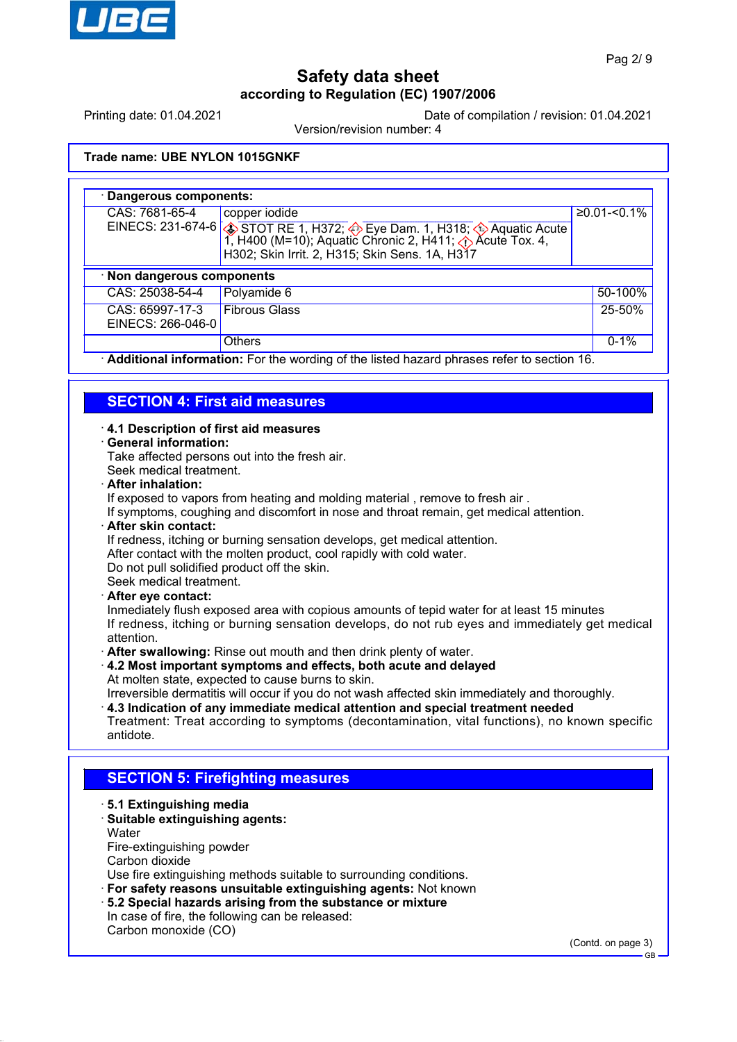

Printing date: 01.04.2021 Date of compilation / revision: 01.04.2021

Version/revision number: 4

#### **Trade name: UBE NYLON 1015GNKF**

| · Dangerous components:                                                                   |                                                                                                                                                                                                                                                     |                  |  |  |  |
|-------------------------------------------------------------------------------------------|-----------------------------------------------------------------------------------------------------------------------------------------------------------------------------------------------------------------------------------------------------|------------------|--|--|--|
| CAS: 7681-65-4                                                                            | copper iodide<br>EINECS: 231-674-6 $\bigotimes$ STOT RE 1, H372; $\bigotimes$ Eye Dam. 1, H318; $\bigotimes$ Aquatic Acute<br>1, H400 (M=10); Aquatic Chronic 2, H411; $\bigotimes$ Acute Tox. 4,<br>H302; Skin Irrit. 2, H315; Skin Sens. 1A, H317 | $≥0.01 - 50.1\%$ |  |  |  |
| · Non dangerous components                                                                |                                                                                                                                                                                                                                                     |                  |  |  |  |
| CAS: 25038-54-4                                                                           | Polyamide 6                                                                                                                                                                                                                                         | 50-100%          |  |  |  |
| CAS: 65997-17-3<br>EINECS: 266-046-0                                                      | <b>Fibrous Glass</b>                                                                                                                                                                                                                                | 25-50%           |  |  |  |
|                                                                                           | <b>Others</b>                                                                                                                                                                                                                                       | $0 - 1%$         |  |  |  |
| Additional information: For the wording of the listed hazard phrases refer to section 16. |                                                                                                                                                                                                                                                     |                  |  |  |  |

## **SECTION 4: First aid measures**

#### · **4.1 Description of first aid measures**

#### · **General information:**

Take affected persons out into the fresh air.

Seek medical treatment.

## · **After inhalation:**

If exposed to vapors from heating and molding material , remove to fresh air .

If symptoms, coughing and discomfort in nose and throat remain, get medical attention.

#### · **After skin contact:**

If redness, itching or burning sensation develops, get medical attention.

After contact with the molten product, cool rapidly with cold water.

Do not pull solidified product off the skin.

Seek medical treatment.

## · **After eye contact:**

Inmediately flush exposed area with copious amounts of tepid water for at least 15 minutes If redness, itching or burning sensation develops, do not rub eyes and immediately get medical attention.

- · **After swallowing:** Rinse out mouth and then drink plenty of water.
- · **4.2 Most important symptoms and effects, both acute and delayed** At molten state, expected to cause burns to skin.

Irreversible dermatitis will occur if you do not wash affected skin immediately and thoroughly.

· **4.3 Indication of any immediate medical attention and special treatment needed** Treatment: Treat according to symptoms (decontamination, vital functions), no known specific antidote.

## **SECTION 5: Firefighting measures**

- · **5.1 Extinguishing media**
- · **Suitable extinguishing agents: Water**
- Fire-extinguishing powder

Carbon dioxide

Use fire extinguishing methods suitable to surrounding conditions.

· **For safety reasons unsuitable extinguishing agents:** Not known

- · **5.2 Special hazards arising from the substance or mixture**
- In case of fire, the following can be released:

Carbon monoxide (CO)

(Contd. on page 3)

GB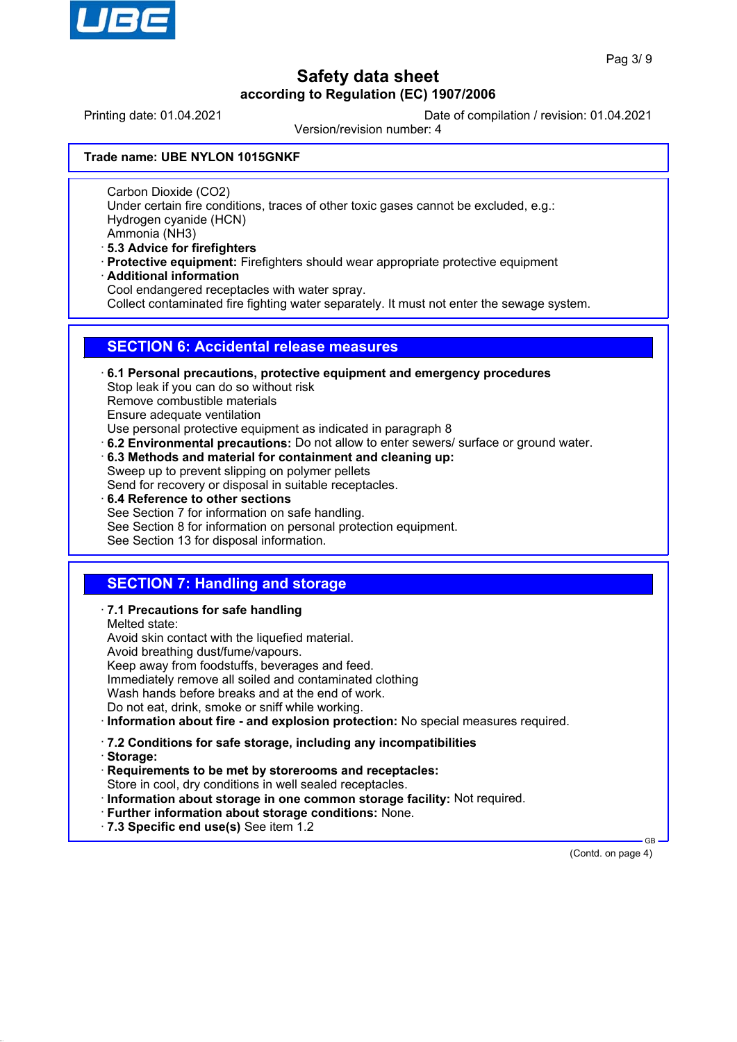

Printing date: 01.04.2021 Date of compilation / revision: 01.04.2021

Version/revision number: 4

#### **Trade name: UBE NYLON 1015GNKF**

Carbon Dioxide (CO2)

Under certain fire conditions, traces of other toxic gases cannot be excluded, e.g.: Hydrogen cyanide (HCN)

Ammonia (NH3)

- · **5.3 Advice for firefighters**
- · **Protective equipment:** Firefighters should wear appropriate protective equipment
- · **Additional information**

Cool endangered receptacles with water spray.

Collect contaminated fire fighting water separately. It must not enter the sewage system.

## **SECTION 6: Accidental release measures**

· **6.1 Personal precautions, protective equipment and emergency procedures** Stop leak if you can do so without risk Remove combustible materials Ensure adequate ventilation Use personal protective equipment as indicated in paragraph 8 · **6.2 Environmental precautions:** Do not allow to enter sewers/ surface or ground water.

· **6.3 Methods and material for containment and cleaning up:**

Sweep up to prevent slipping on polymer pellets Send for recovery or disposal in suitable receptacles.

· **6.4 Reference to other sections** See Section 7 for information on safe handling. See Section 8 for information on personal protection equipment.

### See Section 13 for disposal information.

## **SECTION 7: Handling and storage**

### · **7.1 Precautions for safe handling**

Melted state:

Avoid skin contact with the liquefied material.

Avoid breathing dust/fume/vapours.

Keep away from foodstuffs, beverages and feed.

Immediately remove all soiled and contaminated clothing

Wash hands before breaks and at the end of work.

Do not eat, drink, smoke or sniff while working.

· **Information about fire - and explosion protection:** No special measures required.

· **7.2 Conditions for safe storage, including any incompatibilities**

- · **Storage:**
- · **Requirements to be met by storerooms and receptacles:**

Store in cool, dry conditions in well sealed receptacles. · **Information about storage in one common storage facility:** Not required.

- · **Further information about storage conditions:** None.
- · **7.3 Specific end use(s)** See item 1.2

(Contd. on page 4)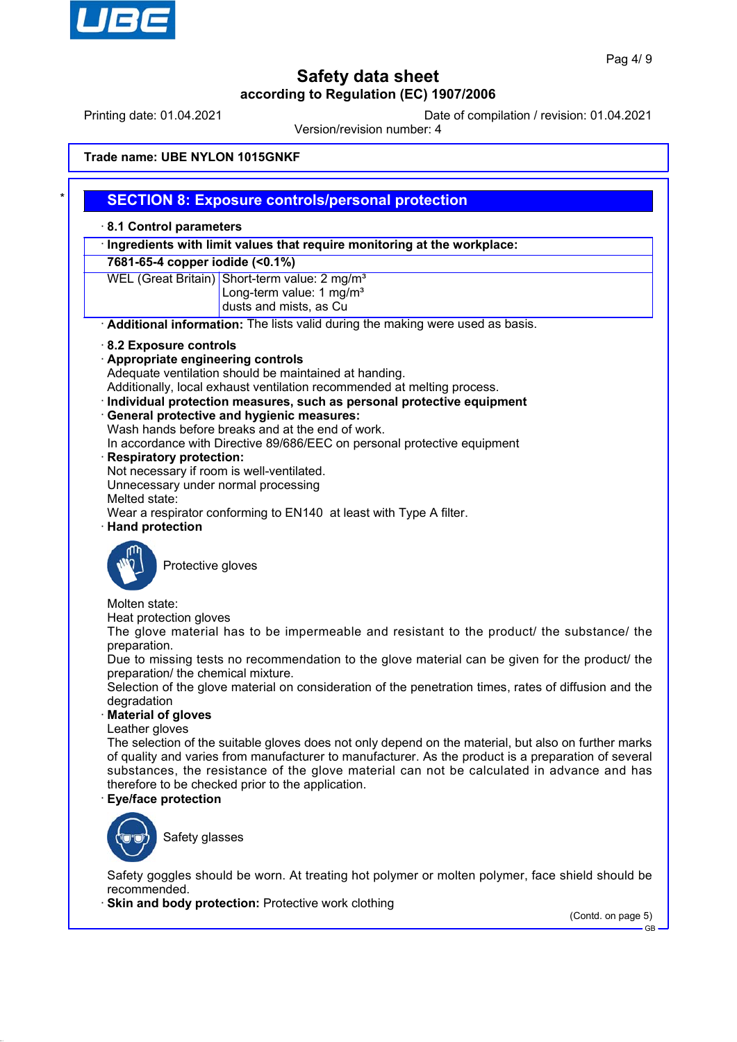

Printing date: 01.04.2021 Date of compilation / revision: 01.04.2021

Version/revision number: 4

#### **Trade name: UBE NYLON 1015GNKF**

## **SECTION 8: Exposure controls/personal protection**

#### · **8.1 Control parameters**

· **Ingredients with limit values that require monitoring at the workplace:**

**7681-65-4 copper iodide (<0.1%)**

WEL (Great Britain) Short-term value: 2 mg/m<sup>3</sup> Long-term value:  $1 \text{ ma/m}^3$ dusts and mists, as Cu

· **Additional information:** The lists valid during the making were used as basis.

- · **8.2 Exposure controls**
- · **Appropriate engineering controls**

Adequate ventilation should be maintained at handing.

Additionally, local exhaust ventilation recommended at melting process.

- · **Individual protection measures, such as personal protective equipment**
- · **General protective and hygienic measures:**
- Wash hands before breaks and at the end of work.

In accordance with Directive 89/686/EEC on personal protective equipment

- · **Respiratory protection:**
- Not necessary if room is well-ventilated.

Unnecessary under normal processing

Melted state:

Wear a respirator conforming to EN140 at least with Type A filter.

· **Hand protection**



Protective gloves

## Molten state:

Heat protection gloves

The glove material has to be impermeable and resistant to the product/ the substance/ the preparation.

Due to missing tests no recommendation to the glove material can be given for the product/ the preparation/ the chemical mixture.

Selection of the glove material on consideration of the penetration times, rates of diffusion and the degradation

#### · **Material of gloves**

Leather gloves

The selection of the suitable gloves does not only depend on the material, but also on further marks of quality and varies from manufacturer to manufacturer. As the product is a preparation of several substances, the resistance of the glove material can not be calculated in advance and has therefore to be checked prior to the application.

#### · **Eye/face protection**



Safety glasses

Safety goggles should be worn. At treating hot polymer or molten polymer, face shield should be recommended.

**Skin and body protection: Protective work clothing** 

(Contd. on page 5)

GB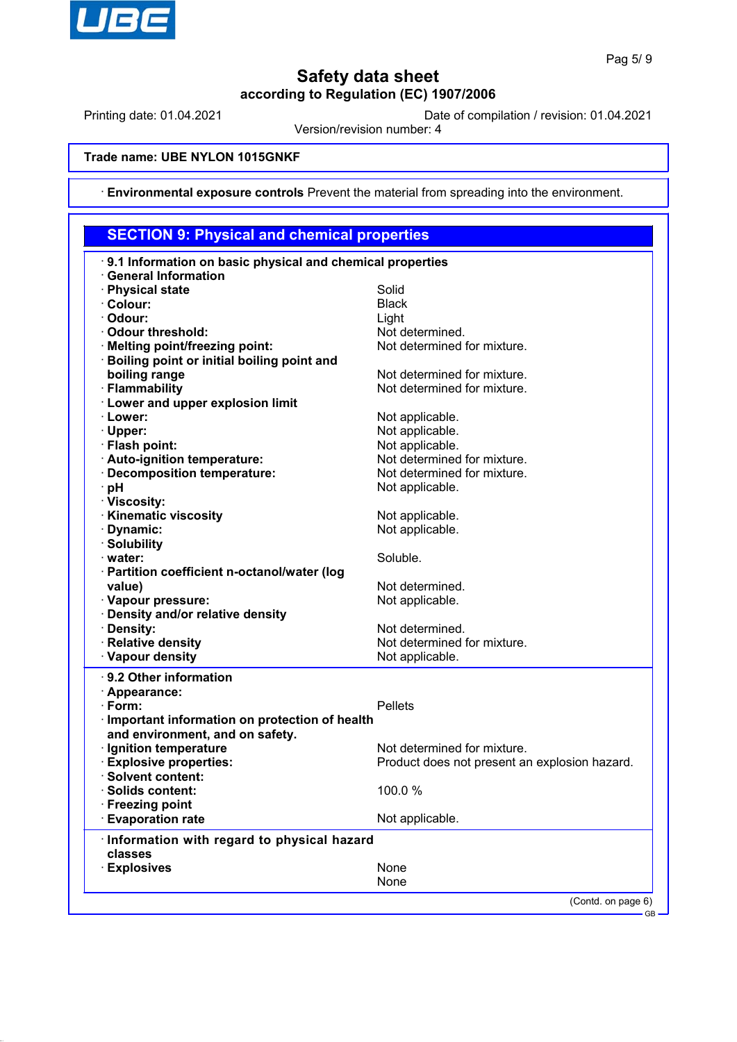

Printing date: 01.04.2021 Date of compilation / revision: 01.04.2021

Version/revision number: 4

#### **Trade name: UBE NYLON 1015GNKF**

· **Environmental exposure controls** Prevent the material from spreading into the environment.

#### **SECTION 9: Physical and chemical properties** · **9.1 Information on basic physical and chemical properties** · **General Information** · **Physical state** Solid · **Colour:** Black · **Odour:** Light · **Odour threshold:** Not determined. · **Melting point/freezing point:** Not determined for mixture. · **Boiling point or initial boiling point and boiling range boiling range Not determined for mixture. • Flammability Electermined for mixture.** Not determined for mixture. · **Lower and upper explosion limit Example 2.1 Lower:** Not applicable. **· Upper:** Not applicable. · **Flash point:** Not applicable. · **Auto-ignition temperature:** Not determined for mixture. · Decomposition temperature: **PH** Not applicable. · **Viscosity:** · **Kinematic viscosity** Not applicable. · **Dynamic:** Not applicable. · **Solubility water:** Soluble. · **Partition coefficient n-octanol/water (log** value) value value value value value value value value value value value value value value value value value v · **Vapour pressure:** Not applicable. · **Density and/or relative density · Density:** Not determined. **Relative density** Relative density **Vapour density** Not applicable. · **9.2 Other information** · **Appearance:** · **Form:** Pellets · **Important information on protection of health and environment, and on safety.** · **Ignition temperature If the Contract Contract Contract Contract Contract Contract Contract Contract Contract Contract Contract Contract Contract Contract Contract Contract Contract Contract Contract Contract Contract** · **Explosive properties:** Product does not present an explosion hazard. · **Solvent content:** · **Solids content:** 100.0 % · **Freezing point** · **Evaporation rate Not applicable.** · **Information with regard to physical hazard classes Explosives** None

None

(Contd. on page 6)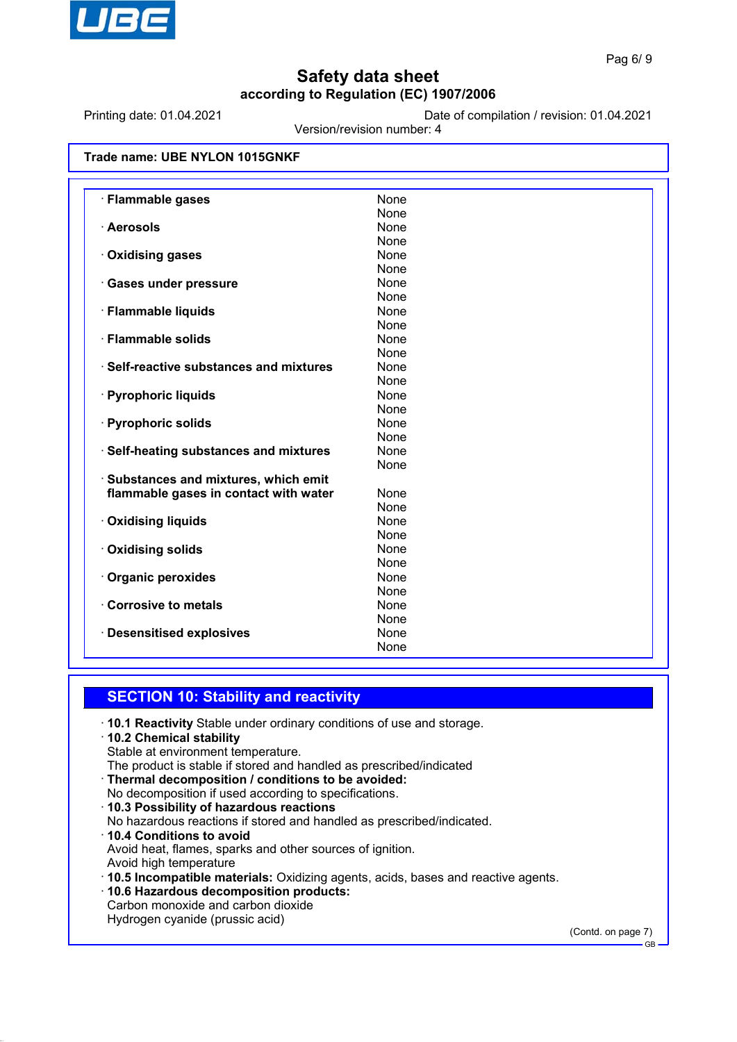

Printing date: 01.04.2021 Date of compilation / revision: 01.04.2021

Version/revision number: 4

| Trade name: UBE NYLON 1015GNKF |  |  |  |
|--------------------------------|--|--|--|
|--------------------------------|--|--|--|

| · Flammable gases                       | None |
|-----------------------------------------|------|
|                                         | None |
| · Aerosols                              | None |
|                                         | None |
| · Oxidising gases                       | None |
|                                         | None |
| · Gases under pressure                  | None |
|                                         | None |
| · Flammable liquids                     | None |
|                                         | None |
| · Flammable solids                      | None |
|                                         | None |
| · Self-reactive substances and mixtures | None |
|                                         | None |
| · Pyrophoric liquids                    | None |
|                                         | None |
| · Pyrophoric solids                     | None |
|                                         | None |
| · Self-heating substances and mixtures  | None |
|                                         | None |
| · Substances and mixtures, which emit   |      |
| flammable gases in contact with water   | None |
|                                         | None |
| · Oxidising liquids                     | None |
|                                         | None |
| · Oxidising solids                      | None |
|                                         | None |
| · Organic peroxides                     | None |
|                                         | None |
| Corrosive to metals                     | None |
|                                         | None |
| <b>Desensitised explosives</b>          | None |
|                                         | None |

## **SECTION 10: Stability and reactivity**

- · **10.1 Reactivity** Stable under ordinary conditions of use and storage.
- · **10.2 Chemical stability**
- Stable at environment temperature.
- The product is stable if stored and handled as prescribed/indicated
- · **Thermal decomposition / conditions to be avoided:** No decomposition if used according to specifications.
- · **10.3 Possibility of hazardous reactions**
- No hazardous reactions if stored and handled as prescribed/indicated.
- · **10.4 Conditions to avoid**

Avoid heat, flames, sparks and other sources of ignition.

- Avoid high temperature
- · **10.5 Incompatible materials:** Oxidizing agents, acids, bases and reactive agents.
- · **10.6 Hazardous decomposition products:**
- Carbon monoxide and carbon dioxide

Hydrogen cyanide (prussic acid)

(Contd. on page 7)

GB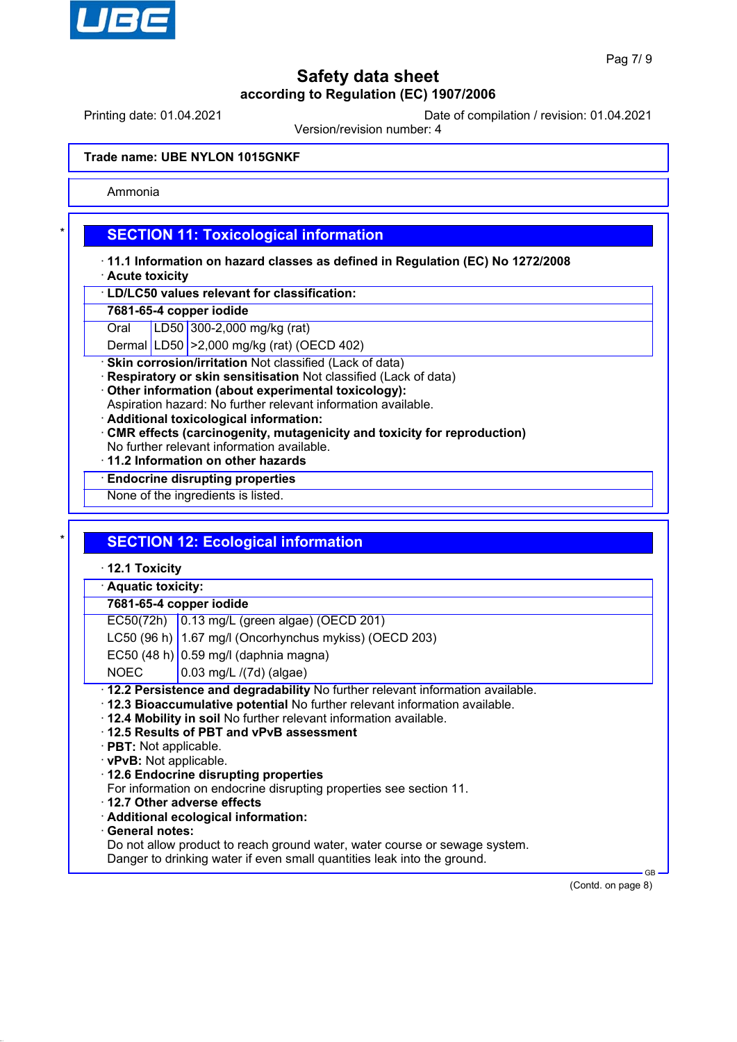

Printing date: 01.04.2021 Date of compilation / revision: 01.04.2021

Version/revision number: 4

#### **Trade name: UBE NYLON 1015GNKF**

Ammonia

## **SECTION 11: Toxicological information**

- · **11.1 Information on hazard classes as defined in Regulation (EC) No 1272/2008**
- · **Acute toxicity**
- · **LD/LC50 values relevant for classification:**

#### **7681-65-4 copper iodide**

Oral LD50 300-2,000 mg/kg (rat)

Dermal LD50 >2,000 mg/kg (rat) (OECD 402)

**Skin corrosion/irritation Not classified (Lack of data)** 

- **Respiratory or skin sensitisation** Not classified (Lack of data)
- · **Other information (about experimental toxicology):**
- Aspiration hazard: No further relevant information available.
- · **Additional toxicological information:**
- · **CMR effects (carcinogenity, mutagenicity and toxicity for reproduction)**
- No further relevant information available.
- · **11.2 Information on other hazards**

### · **Endocrine disrupting properties**

None of the ingredients is listed.

## **SECTION 12: Ecological information**

· **12.1 Toxicity**

#### · **Aquatic toxicity:**

### **7681-65-4 copper iodide**

EC50(72h) 0.13 mg/L (green algae) (OECD 201)

- LC50 (96 h)  $\vert$  1.67 mg/l (Oncorhynchus mykiss) (OECD 203)
- EC50 (48 h)  $\vert$  0.59 mg/l (daphnia magna)
- $NOEC$   $|0.03$  mg/L /(7d) (algae)
- · **12.2 Persistence and degradability** No further relevant information available.
- · **12.3 Bioaccumulative potential** No further relevant information available.
- · **12.4 Mobility in soil** No further relevant information available.
- · **12.5 Results of PBT and vPvB assessment**
- · **PBT:** Not applicable.
- · **vPvB:** Not applicable.
- · **12.6 Endocrine disrupting properties**
- For information on endocrine disrupting properties see section 11.
- · **12.7 Other adverse effects**
- · **Additional ecological information:**
- · **General notes:**

Do not allow product to reach ground water, water course or sewage system.

Danger to drinking water if even small quantities leak into the ground.

(Contd. on page 8)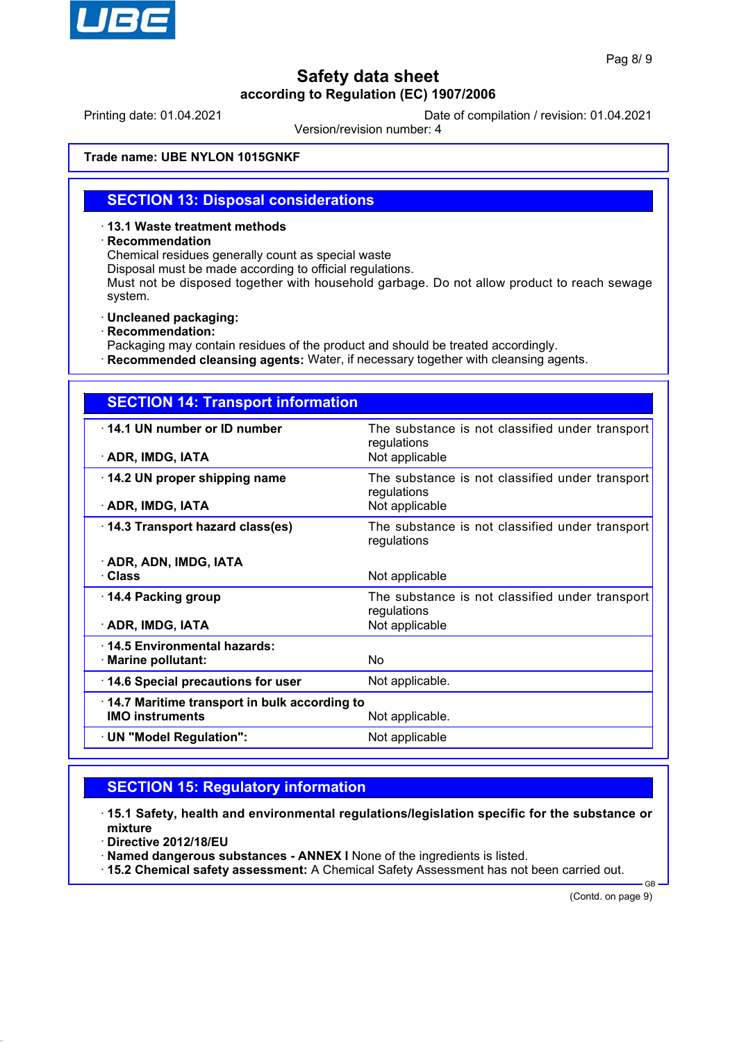

Printing date: 01.04.2021 Date of compilation / revision: 01.04.2021

Version/revision number: 4

#### **Trade name: UBE NYLON 1015GNKF**

### **SECTION 13: Disposal considerations**

· **13.1 Waste treatment methods**

#### · **Recommendation**

Chemical residues generally count as special waste

Disposal must be made according to official regulations.

Must not be disposed together with household garbage. Do not allow product to reach sewage system.

· **Uncleaned packaging:**

· **Recommendation:**

Packaging may contain residues of the product and should be treated accordingly.

· **Recommended cleansing agents:** Water, if necessary together with cleansing agents.

| <b>SECTION 14: Transport information</b>         |                                                                                  |  |
|--------------------------------------------------|----------------------------------------------------------------------------------|--|
| 14.1 UN number or ID number<br>· ADR, IMDG, IATA | The substance is not classified under transport<br>regulations<br>Not applicable |  |
| 14.2 UN proper shipping name                     | The substance is not classified under transport                                  |  |
|                                                  | regulations                                                                      |  |
| · ADR, IMDG, IATA                                | Not applicable                                                                   |  |
| 14.3 Transport hazard class(es)                  | The substance is not classified under transport<br>regulations                   |  |
| · ADR, ADN, IMDG, IATA                           |                                                                                  |  |
| · Class                                          | Not applicable                                                                   |  |
| 14.4 Packing group                               | The substance is not classified under transport<br>regulations                   |  |
| · ADR, IMDG, IATA                                | Not applicable                                                                   |  |
| 14.5 Environmental hazards:                      |                                                                                  |  |
| · Marine pollutant:                              | No.                                                                              |  |
| 14.6 Special precautions for user                | Not applicable.                                                                  |  |
| 14.7 Maritime transport in bulk according to     |                                                                                  |  |
| <b>IMO instruments</b>                           | Not applicable.                                                                  |  |
| · UN "Model Regulation":                         | Not applicable                                                                   |  |

# **SECTION 15: Regulatory information**

· **15.1 Safety, health and environmental regulations/legislation specific for the substance or mixture**

· **Directive 2012/18/EU**

· **Named dangerous substances - ANNEX I** None of the ingredients is listed.

· **15.2 Chemical safety assessment:** A Chemical Safety Assessment has not been carried out.

(Contd. on page 9)